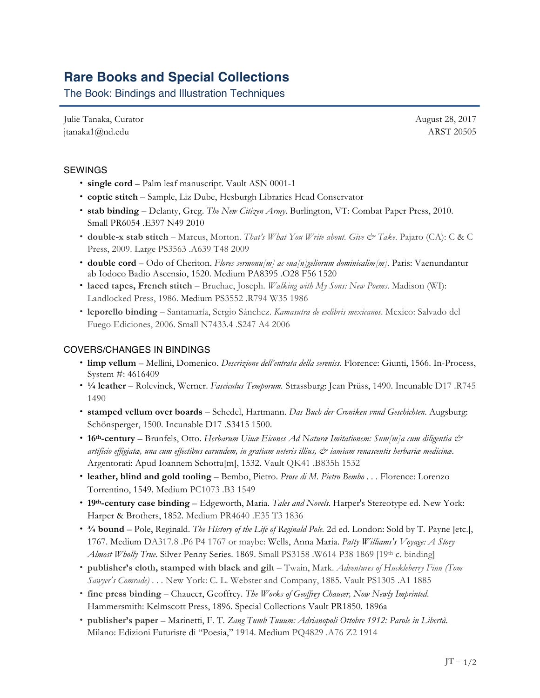# **Rare Books and Special Collections**

The Book: Bindings and Illustration Techniques

Julie Tanaka, Curator jtanaka1@nd.edu

August 28, 2017 ARST 20505

## SEWINGS

- **single cord** Palm leaf manuscript. Vault ASN 0001-1
- **coptic stitch** Sample, Liz Dube, Hesburgh Libraries Head Conservator
- **stab binding** Delanty, Greg. *The New Citizen Army*. Burlington, VT: Combat Paper Press, 2010. Small PR6054 .E397 N49 2010
- **double-x stab stitch** Marcus, Morton. *That's What You Write about. Give & Take*. Pajaro (CA): C & C Press, 2009. Large PS3563 .A639 T48 2009
- **double cord** Odo of Cheriton. *Flores sermonu[m] ac eua[n]geliorum dominicalim[m]*. Paris: Vaenundantur ab Iodoco Badio Ascensio, 1520. Medium PA8395 .O28 F56 1520
- **laced tapes, French stitch** Bruchac, Joseph. *Walking with My Sons: New Poems*. Madison (WI): Landlocked Press, 1986. Medium PS3552 .R794 W35 1986
- **leporello binding** Santamaría, Sergio Sánchez. *Kamasutra de exlibris mexicanos*. Mexico: Salvado del Fuego Ediciones, 2006. Small N7433.4 .S247 A4 2006

#### COVERS/CHANGES IN BINDINGS

- **limp vellum** Mellini, Domenico. *Descrizione dell'entrata della sereniss*. Florence: Giunti, 1566. In-Process, System #: 4616409
- **¼ leather**  Rolevinck, Werner. *Fasciculus Temporum.* Strassburg: Jean Prüss, 1490. Incunable D17 .R745 1490
- **stamped vellum over boards** Schedel, Hartmann. *Das Buch der Croniken vnnd Geschichten*. Augsburg: Schönsperger, 1500. Incunable D17 .S3415 1500.
- **16th-century** Brunfels, Otto. *Herbarum Uiuæ Eicones Ad Naturæ Imitationem: Sum[m]a cum diligentia & artificio effigiatæ, una cum effectibus earundem, in gratiam ueteris illius, & iamiam renascentis herbariæ medicinæ*. Argentorati: Apud Ioannem Schottu[m], 1532. Vault QK41 .B835h 1532
- **leather, blind and gold tooling** Bembo, Pietro. *Prose di M. Pietro Bembo . . .* Florence: Lorenzo Torrentino, 1549. Medium PC1073 .B3 1549
- **19th-century case binding** Edgeworth, Maria. *Tales and Novels*. Harper's Stereotype ed. New York: Harper & Brothers, 1852. Medium PR4640 .E35 T3 1836
- **¾ bound** Pole, Reginald. *The History of the Life of Reginald Pole.* 2d ed. London: Sold by T. Payne [etc.], 1767. Medium DA317.8 .P6 P4 1767 or maybe: Wells, Anna Maria. *Patty Williams's Voyage: A Story Almost Wholly True.* Silver Penny Series. 1869. Small PS3158 .W614 P38 1869 [19th c. binding]
- **publisher's cloth, stamped with black and gilt** Twain, Mark. *Adventures of Huckleberry Finn (Tom Sawyer's Comrade) . . .* New York: C. L. Webster and Company, 1885. Vault PS1305 .A1 1885
- **fine press binding** Chaucer, Geoffrey. *The Works of Geoffrey Chaucer, Now Newly Imprinted*. Hammersmith: Kelmscott Press, 1896. Special Collections Vault PR1850. 1896a
- **publisher's paper** Marinetti, F. T. *Zang Tumb Tuuum: Adrianopoli Ottobre 1912: Parole in Libertà*. Milano: Edizioni Futuriste di "Poesia," 1914. Medium PQ4829 .A76 Z2 1914